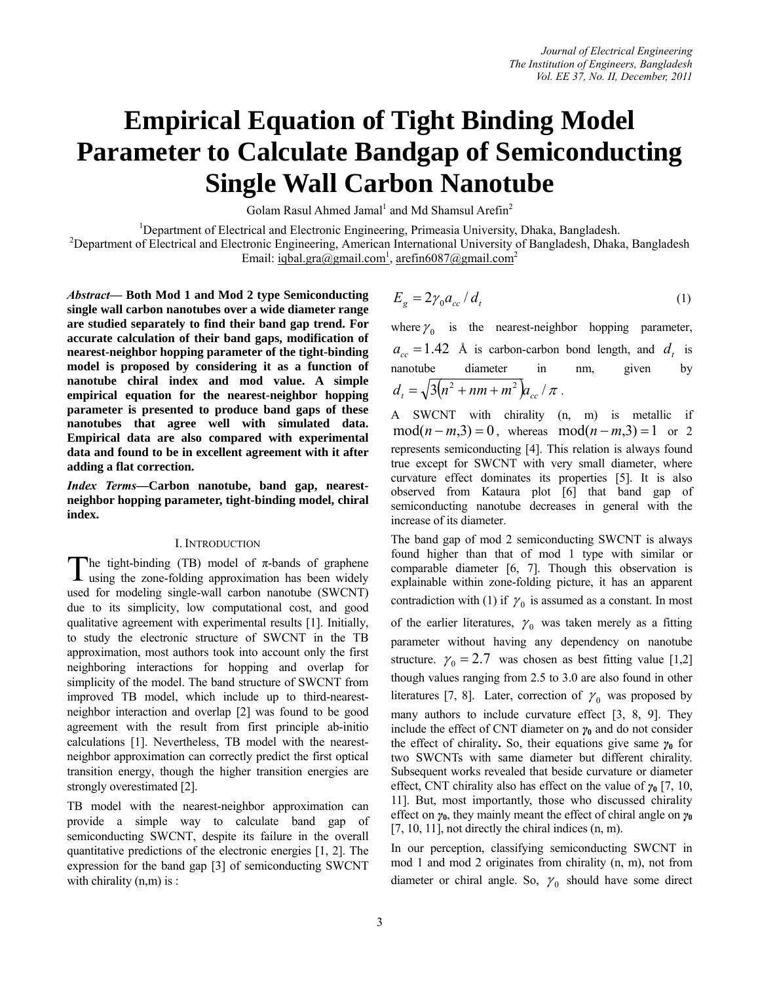# **Empirical Equation of Tight Binding Model Parameter to Calculate Bandgap of Semiconducting Single Wall Carbon Nanotube**

Golam Rasul Ahmed Jamal<sup>1</sup> and Md Shamsul Arefin<sup>2</sup>

<sup>1</sup>Department of Electrical and Electronic Engineering, Primeasia University, Dhaka, Bangladesh.<br><sup>2</sup>Department of Electrical and Electronic Engineering, American International University of Bangladesh. Dhaka

<sup>2</sup>Department of Electrical and Electronic Engineering, American International University of Bangladesh, Dhaka, Bangladesh Email: iqbal.gra@gmail.com<sup>1</sup>, arefin6087@gmail.com<sup>2</sup>

*Abstract—* **Both Mod 1 and Mod 2 type Semiconducting single wall carbon nanotubes over a wide diameter range are studied separately to find their band gap trend. For accurate calculation of their band gaps, modification of nearest-neighbor hopping parameter of the tight-binding model is proposed by considering it as a function of nanotube chiral index and mod value. A simple empirical equation for the nearest-neighbor hopping parameter is presented to produce band gaps of these nanotubes that agree well with simulated data. Empirical data are also compared with experimental data and found to be in excellent agreement with it after adding a flat correction.** 

*Index Terms***—Carbon nanotube, band gap, nearestneighbor hopping parameter, tight-binding model, chiral index.** 

# I. INTRODUCTION

The tight-binding (TB) model of  $\pi$ -bands of graphene The tight-binding (TB) model of  $\pi$ -bands of graphene using the zone-folding approximation has been widely used for modeling single-wall carbon nanotube (SWCNT) due to its simplicity, low computational cost, and good qualitative agreement with experimental results [1]. Initially, to study the electronic structure of SWCNT in the TB approximation, most authors took into account only the first neighboring interactions for hopping and overlap for simplicity of the model. The band structure of SWCNT from improved TB model, which include up to third-nearestneighbor interaction and overlap [2] was found to be good agreement with the result from first principle ab-initio calculations [1]. Nevertheless, TB model with the nearestneighbor approximation can correctly predict the first optical transition energy, though the higher transition energies are strongly overestimated [2].

TB model with the nearest-neighbor approximation can provide a simple way to calculate band gap of semiconducting SWCNT, despite its failure in the overall quantitative predictions of the electronic energies [1, 2]. The expression for the band gap [3] of semiconducting SWCNT with chirality  $(n,m)$  is :

$$
E_g = 2\gamma_0 a_{cc} / d_t \tag{1}
$$

where  $\gamma_0$  is the nearest-neighbor hopping parameter,  $a_{cc} = 1.42$  Å is carbon-carbon bond length, and  $d_t$  is nanotube diameter in nm, given by  $d_{i} = \sqrt{3(n^{2} + nm + m^{2})} a_{i} / \pi$ .

A SWCNT with chirality (n, m) is metallic if  $mod(n-m,3) = 0$ , whereas  $mod(n-m,3) = 1$  or 2 represents semiconducting [4]. This relation is always found true except for SWCNT with very small diameter, where curvature effect dominates its properties [5]. It is also observed from Kataura plot [6] that band gap of semiconducting nanotube decreases in general with the increase of its diameter.

The band gap of mod 2 semiconducting SWCNT is always found higher than that of mod 1 type with similar or comparable diameter [6, 7]. Though this observation is explainable within zone-folding picture, it has an apparent contradiction with (1) if  $\gamma_0$  is assumed as a constant. In most of the earlier literatures,  $\gamma_0$  was taken merely as a fitting parameter without having any dependency on nanotube structure.  $\gamma_0 = 2.7$  was chosen as best fitting value [1,2] though values ranging from 2.5 to 3.0 are also found in other literatures [7, 8]. Later, correction of  $\gamma_0$  was proposed by many authors to include curvature effect [3, 8, 9]. They include the effect of CNT diameter on  $\gamma_0$  and do not consider the effect of chirality**.** So, their equations give same *γ***<sup>0</sup>** for two SWCNTs with same diameter but different chirality. Subsequent works revealed that beside curvature or diameter effect, CNT chirality also has effect on the value of *γ***0** [7, 10, 11]. But, most importantly, those who discussed chirality effect on *γ***0**, they mainly meant the effect of chiral angle on *γ***<sup>0</sup>**  $[7, 10, 11]$ , not directly the chiral indices  $(n, m)$ .

In our perception, classifying semiconducting SWCNT in mod 1 and mod 2 originates from chirality (n, m), not from diameter or chiral angle. So,  $\gamma_0$  should have some direct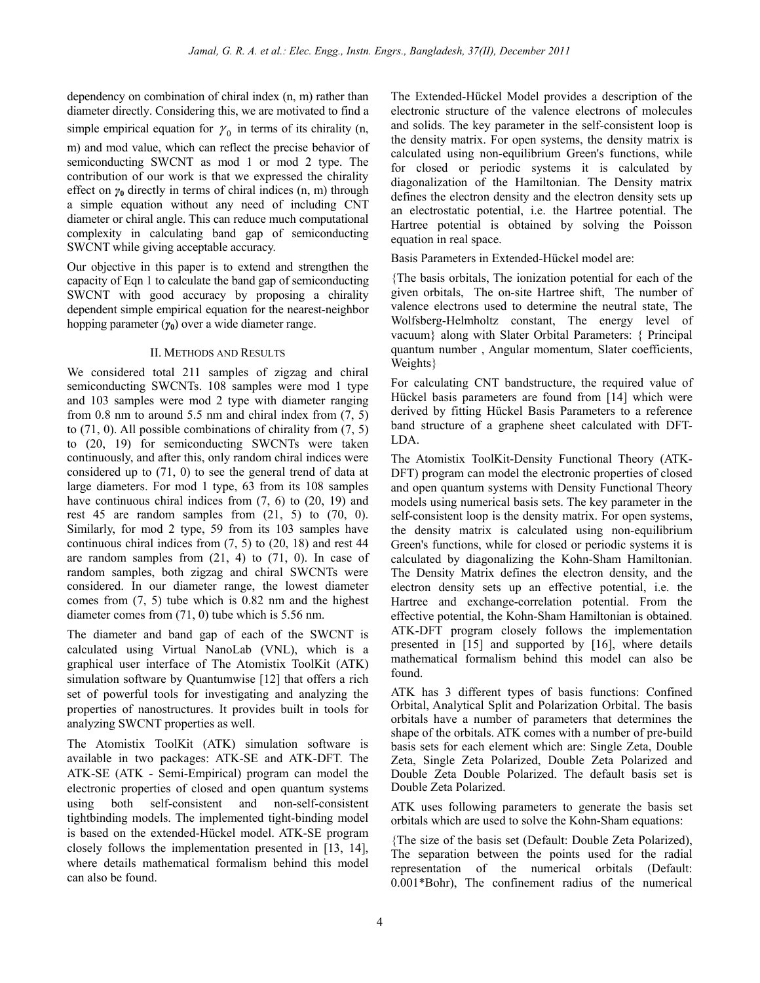dependency on combination of chiral index (n, m) rather than diameter directly. Considering this, we are motivated to find a simple empirical equation for  $\gamma_0$  in terms of its chirality (n, m) and mod value, which can reflect the precise behavior of semiconducting SWCNT as mod 1 or mod 2 type. The contribution of our work is that we expressed the chirality effect on *γ***0** directly in terms of chiral indices (n, m) through a simple equation without any need of including CNT diameter or chiral angle. This can reduce much computational complexity in calculating band gap of semiconducting SWCNT while giving acceptable accuracy.

Our objective in this paper is to extend and strengthen the capacity of Eqn 1 to calculate the band gap of semiconducting SWCNT with good accuracy by proposing a chirality dependent simple empirical equation for the nearest-neighbor hopping parameter (*γ***0**) over a wide diameter range.

# II. METHODS AND RESULTS

We considered total 211 samples of zigzag and chiral semiconducting SWCNTs. 108 samples were mod 1 type and 103 samples were mod 2 type with diameter ranging from  $0.8$  nm to around  $5.5$  nm and chiral index from  $(7, 5)$ to (71, 0). All possible combinations of chirality from (7, 5) to (20, 19) for semiconducting SWCNTs were taken continuously, and after this, only random chiral indices were considered up to (71, 0) to see the general trend of data at large diameters. For mod 1 type, 63 from its 108 samples have continuous chiral indices from  $(7, 6)$  to  $(20, 19)$  and rest 45 are random samples from  $(21, 5)$  to  $(70, 0)$ . Similarly, for mod 2 type, 59 from its 103 samples have continuous chiral indices from (7, 5) to (20, 18) and rest 44 are random samples from  $(21, 4)$  to  $(71, 0)$ . In case of random samples, both zigzag and chiral SWCNTs were considered. In our diameter range, the lowest diameter comes from (7, 5) tube which is 0.82 nm and the highest diameter comes from (71, 0) tube which is 5.56 nm.

The diameter and band gap of each of the SWCNT is calculated using Virtual NanoLab (VNL), which is a graphical user interface of The Atomistix ToolKit (ATK) simulation software by Quantumwise [12] that offers a rich set of powerful tools for investigating and analyzing the properties of nanostructures. It provides built in tools for analyzing SWCNT properties as well.

The Atomistix ToolKit (ATK) simulation software is available in two packages: ATK-SE and ATK-DFT. The ATK-SE (ATK - Semi-Empirical) program can model the electronic properties of closed and open quantum systems using both self-consistent and non-self-consistent tightbinding models. The implemented tight-binding model is based on the extended-Hückel model. ATK-SE program closely follows the implementation presented in [13, 14], where details mathematical formalism behind this model can also be found.

The Extended-Hückel Model provides a description of the electronic structure of the valence electrons of molecules and solids. The key parameter in the self-consistent loop is the density matrix. For open systems, the density matrix is calculated using non-equilibrium Green's functions, while for closed or periodic systems it is calculated by diagonalization of the Hamiltonian. The Density matrix defines the electron density and the electron density sets up an electrostatic potential, i.e. the Hartree potential. The Hartree potential is obtained by solving the Poisson equation in real space.

Basis Parameters in Extended-Hückel model are:

{The basis orbitals, The ionization potential for each of the given orbitals, The on-site Hartree shift, The number of valence electrons used to determine the neutral state, The Wolfsberg-Helmholtz constant, The energy level of vacuum} along with Slater Orbital Parameters: { Principal quantum number , Angular momentum, Slater coefficients, Weights}

For calculating CNT bandstructure, the required value of Hückel basis parameters are found from [14] which were derived by fitting Hückel Basis Parameters to a reference band structure of a graphene sheet calculated with DFT-LDA.

The Atomistix ToolKit-Density Functional Theory (ATK-DFT) program can model the electronic properties of closed and open quantum systems with Density Functional Theory models using numerical basis sets. The key parameter in the self-consistent loop is the density matrix. For open systems, the density matrix is calculated using non-equilibrium Green's functions, while for closed or periodic systems it is calculated by diagonalizing the Kohn-Sham Hamiltonian. The Density Matrix defines the electron density, and the electron density sets up an effective potential, i.e. the Hartree and exchange-correlation potential. From the effective potential, the Kohn-Sham Hamiltonian is obtained. ATK-DFT program closely follows the implementation presented in [15] and supported by [16], where details mathematical formalism behind this model can also be found.

ATK has 3 different types of basis functions: Confined Orbital, Analytical Split and Polarization Orbital. The basis orbitals have a number of parameters that determines the shape of the orbitals. ATK comes with a number of pre-build basis sets for each element which are: Single Zeta, Double Zeta, Single Zeta Polarized, Double Zeta Polarized and Double Zeta Double Polarized. The default basis set is Double Zeta Polarized.

ATK uses following parameters to generate the basis set orbitals which are used to solve the Kohn-Sham equations:

{The size of the basis set (Default: Double Zeta Polarized), The separation between the points used for the radial representation of the numerical orbitals (Default: 0.001\*Bohr), The confinement radius of the numerical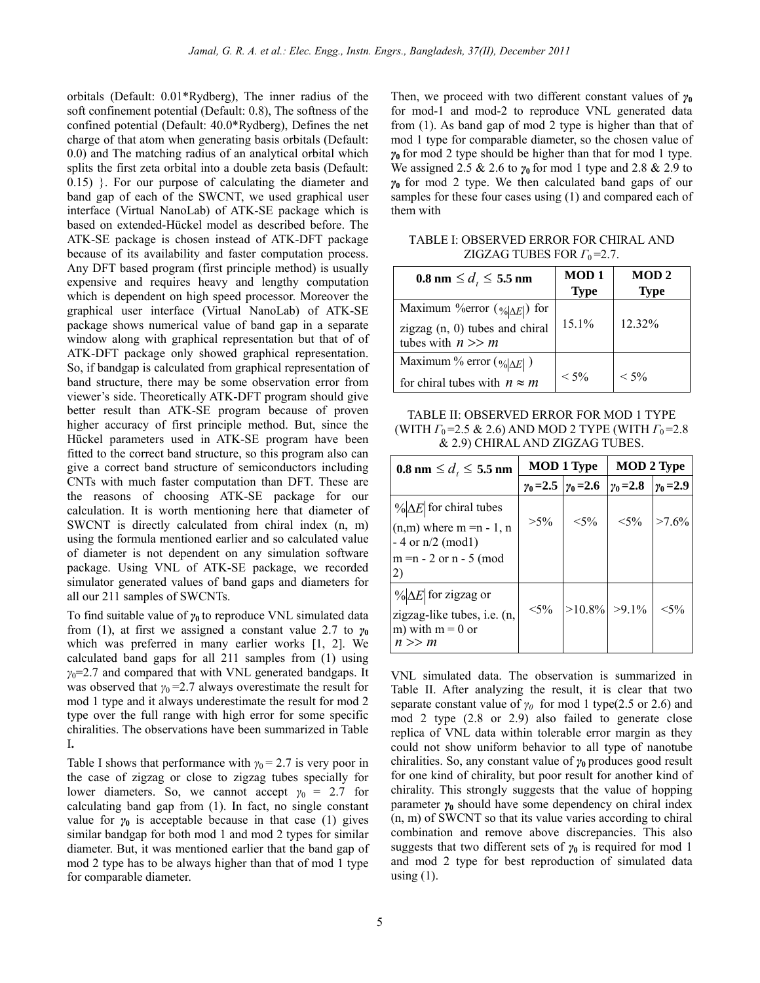orbitals (Default: 0.01\*Rydberg), The inner radius of the soft confinement potential (Default: 0.8), The softness of the confined potential (Default: 40.0\*Rydberg), Defines the net charge of that atom when generating basis orbitals (Default: 0.0) and The matching radius of an analytical orbital which splits the first zeta orbital into a double zeta basis (Default: 0.15) }. For our purpose of calculating the diameter and band gap of each of the SWCNT, we used graphical user interface (Virtual NanoLab) of ATK-SE package which is based on extended-Hückel model as described before. The ATK-SE package is chosen instead of ATK-DFT package because of its availability and faster computation process. Any DFT based program (first principle method) is usually expensive and requires heavy and lengthy computation which is dependent on high speed processor. Moreover the graphical user interface (Virtual NanoLab) of ATK-SE package shows numerical value of band gap in a separate window along with graphical representation but that of of ATK-DFT package only showed graphical representation. So, if bandgap is calculated from graphical representation of band structure, there may be some observation error from viewer's side. Theoretically ATK-DFT program should give better result than ATK-SE program because of proven higher accuracy of first principle method. But, since the Hückel parameters used in ATK-SE program have been fitted to the correct band structure, so this program also can give a correct band structure of semiconductors including CNTs with much faster computation than DFT. These are the reasons of choosing ATK-SE package for our calculation. It is worth mentioning here that diameter of SWCNT is directly calculated from chiral index (n, m) using the formula mentioned earlier and so calculated value of diameter is not dependent on any simulation software package. Using VNL of ATK-SE package, we recorded simulator generated values of band gaps and diameters for all our 211 samples of SWCNTs.

To find suitable value of *γ***0** to reproduce VNL simulated data from (1), at first we assigned a constant value 2.7 to  $\gamma_0$ which was preferred in many earlier works [1, 2]. We calculated band gaps for all 211 samples from (1) using *γ*<sub>0</sub>=2.7 and compared that with VNL generated bandgaps. It was observed that  $\gamma_0 = 2.7$  always overestimate the result for mod 1 type and it always underestimate the result for mod 2 type over the full range with high error for some specific chiralities. The observations have been summarized in Table I**.** 

Table I shows that performance with  $\gamma_0 = 2.7$  is very poor in the case of zigzag or close to zigzag tubes specially for lower diameters. So, we cannot accept  $\gamma_0 = 2.7$  for calculating band gap from (1). In fact, no single constant value for  $\gamma_0$  is acceptable because in that case (1) gives similar bandgap for both mod 1 and mod 2 types for similar diameter. But, it was mentioned earlier that the band gap of mod 2 type has to be always higher than that of mod 1 type for comparable diameter.

Then, we proceed with two different constant values of *γ***<sup>0</sup>** for mod-1 and mod-2 to reproduce VNL generated data from (1). As band gap of mod 2 type is higher than that of mod 1 type for comparable diameter, so the chosen value of *γ***0** for mod 2 type should be higher than that for mod 1 type. We assigned 2.5 & 2.6 to  $\gamma$ <sup>0</sup> for mod 1 type and 2.8 & 2.9 to *γ***0** for mod 2 type. We then calculated band gaps of our samples for these four cases using (1) and compared each of them with

TABLE I: OBSERVED ERROR FOR CHIRAL AND ZIGZAG TUBES FOR  $\Gamma_0$ =2.7.

| $0.8 \text{ nm} \leq d_t \leq 5.5 \text{ nm}$                                                         | <b>MOD1</b><br><b>Type</b> | MOD <sub>2</sub><br><b>Type</b> |
|-------------------------------------------------------------------------------------------------------|----------------------------|---------------------------------|
| Maximum % error $(\sqrt{ \Delta E })$ for<br>zigzag $(n, 0)$ tubes and chiral<br>tubes with $n \gg m$ | $15.1\%$                   | 12.32%                          |
| Maximum % error $(\frac{6}{6} \Delta E )$<br>for chiral tubes with $n \approx m$                      | $< 5\%$                    | $< 5\%$                         |

TABLE II: OBSERVED ERROR FOR MOD 1 TYPE (WITH *Γ*<sub>0</sub>=2.5 & 2.6) AND MOD 2 TYPE (WITH *Γ*<sub>0</sub>=2.8 & 2.9) CHIRAL AND ZIGZAG TUBES.

| $0.8 \text{ nm} \le d_{\iota} \le 5.5 \text{ nm}$                                                                           | <b>MOD 1 Type</b>                   |                 | <b>MOD 2 Type</b> |                  |
|-----------------------------------------------------------------------------------------------------------------------------|-------------------------------------|-----------------|-------------------|------------------|
|                                                                                                                             | $\gamma_0 = 2.5$   $\gamma_0 = 2.6$ |                 | $y_0 = 2.8$       | $\gamma_0 = 2.9$ |
| $\%$ $\Delta E$ for chiral tubes<br>$(n,m)$ where m = n - 1, n<br>$-4$ or $n/2$ (mod1)<br>$m = n - 2$ or $n - 5$ (mod<br>2) | $>5\%$                              | $< 5\%$         | $<$ 5%            | $>7.6\%$         |
| $\%$ $\Delta E$ for zigzag or<br>zigzag-like tubes, i.e. (n,<br>m) with $m = 0$ or<br>n >> m                                | $< 5\%$                             | $>10.8\%$ >9.1% |                   | $< 5\%$          |

VNL simulated data. The observation is summarized in Table II. After analyzing the result, it is clear that two separate constant value of  $\gamma_0$  for mod 1 type(2.5 or 2.6) and mod 2 type (2.8 or 2.9) also failed to generate close replica of VNL data within tolerable error margin as they could not show uniform behavior to all type of nanotube chiralities. So, any constant value of *γ***0** produces good result for one kind of chirality, but poor result for another kind of chirality. This strongly suggests that the value of hopping parameter *γ***<sup>0</sup>** should have some dependency on chiral index (n, m) of SWCNT so that its value varies according to chiral combination and remove above discrepancies. This also suggests that two different sets of  $\gamma_0$  is required for mod 1 and mod 2 type for best reproduction of simulated data using  $(1)$ .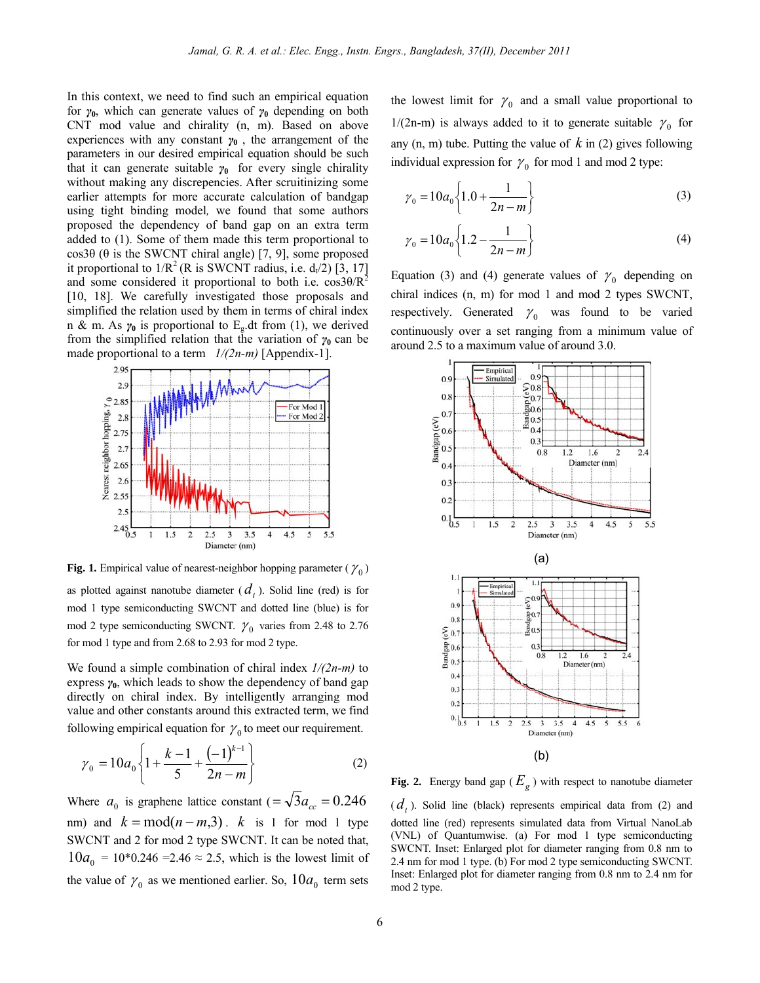In this context, we need to find such an empirical equation for *γ***0**, which can generate values of *γ***0** depending on both CNT mod value and chirality (n, m). Based on above experiences with any constant  $\gamma_0$ , the arrangement of the parameters in our desired empirical equation should be such that it can generate suitable  $\gamma_0$  for every single chirality without making any discrepencies. After scruitinizing some earlier attempts for more accurate calculation of bandgap using tight binding model*,* we found that some authors proposed the dependency of band gap on an extra term added to (1). Some of them made this term proportional to cos3θ (θ is the SWCNT chiral angle) [7, 9], some proposed it proportional to  $1/R^2$  (R is SWCNT radius, i.e.  $d_1/2$ ) [3, 17] and some considered it proportional to both i.e.  $\cos 3\theta/R^2$ [10, 18]. We carefully investigated those proposals and simplified the relation used by them in terms of chiral index n & m. As  $\gamma_0$  is proportional to E<sub>g</sub>.dt from (1), we derived from the simplified relation that the variation of  $\gamma_0$  can be made proportional to a term *1/(2n-m)* [Appendix-1].



**Fig. 1.** Empirical value of nearest-neighbor hopping parameter ( $\gamma_0$ )

as plotted against nanotube diameter  $(d_t)$ . Solid line (red) is for mod 1 type semiconducting SWCNT and dotted line (blue) is for mod 2 type semiconducting SWCNT.  $\gamma_0$  varies from 2.48 to 2.76 for mod 1 type and from 2.68 to 2.93 for mod 2 type.

We found a simple combination of chiral index *1/(2n-m)* to express  $\gamma_0$ , which leads to show the dependency of band gap directly on chiral index. By intelligently arranging mod value and other constants around this extracted term, we find following empirical equation for  $\gamma_0$  to meet our requirement.

$$
\gamma_0 = 10a_0 \left\{ 1 + \frac{k-1}{5} + \frac{(-1)^{k-1}}{2n-m} \right\} \tag{2}
$$

Where  $a_0$  is graphene lattice constant ( $=\sqrt{3}a_{cc} = 0.246$ nm) and  $k = mod(n - m, 3)$ . *k* is 1 for mod 1 type SWCNT and 2 for mod 2 type SWCNT. It can be noted that,  $10a_0 = 10*0.246 = 2.46 \approx 2.5$ , which is the lowest limit of the value of  $\gamma_0$  as we mentioned earlier. So,  $10a_0$  term sets the lowest limit for  $\gamma_0$  and a small value proportional to 1/(2n-m) is always added to it to generate suitable  $\gamma_0$  for any (n, m) tube. Putting the value of *k* in (2) gives following individual expression for  $\gamma_0$  for mod 1 and mod 2 type:

$$
\gamma_0 = 10a_0 \left\{ 1.0 + \frac{1}{2n - m} \right\} \tag{3}
$$

$$
\gamma_0 = 10a_0 \left\{ 1.2 - \frac{1}{2n - m} \right\} \tag{4}
$$

Equation (3) and (4) generate values of  $\gamma_0$  depending on chiral indices (n, m) for mod 1 and mod 2 types SWCNT, respectively. Generated  $\gamma_0$  was found to be varied continuously over a set ranging from a minimum value of around 2.5 to a maximum value of around 3.0.



**Fig. 2.** Energy band gap ( $E_g$ ) with respect to nanotube diameter  $(d_t)$ . Solid line (black) represents empirical data from (2) and dotted line (red) represents simulated data from Virtual NanoLab (VNL) of Quantumwise. (a) For mod 1 type semiconducting SWCNT. Inset: Enlarged plot for diameter ranging from 0.8 nm to 2.4 nm for mod 1 type. (b) For mod 2 type semiconducting SWCNT. Inset: Enlarged plot for diameter ranging from 0.8 nm to 2.4 nm for mod 2 type.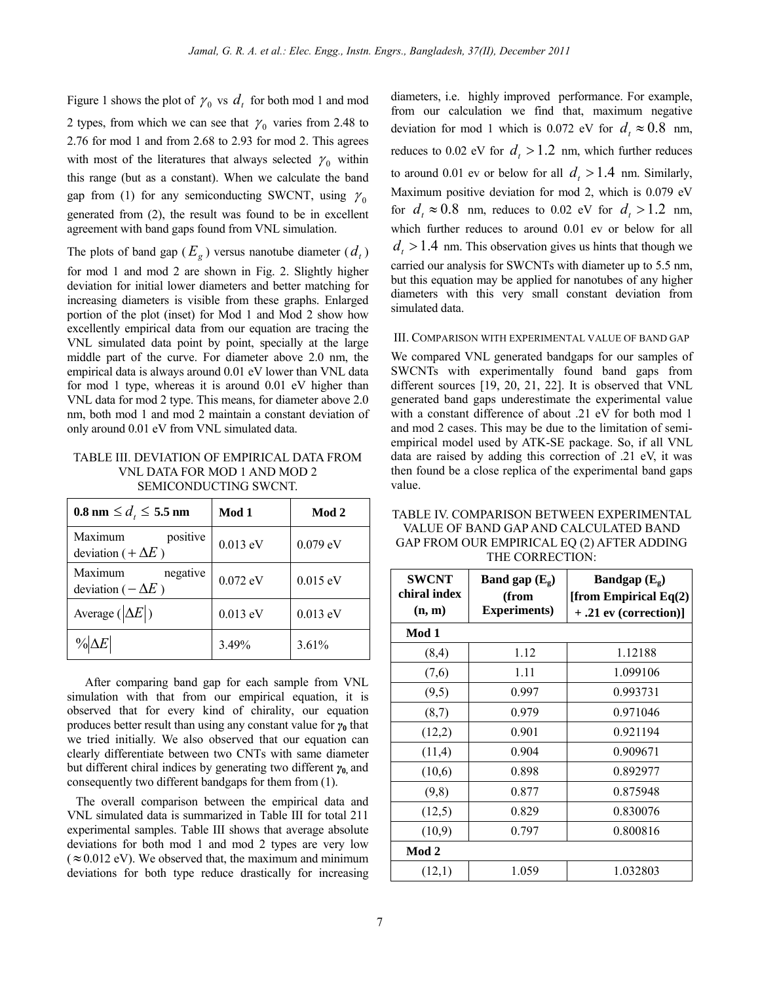Figure 1 shows the plot of  $\gamma_0$  vs  $d_t$  for both mod 1 and mod 2 types, from which we can see that  $\gamma_0$  varies from 2.48 to 2.76 for mod 1 and from 2.68 to 2.93 for mod 2. This agrees with most of the literatures that always selected  $\gamma_0$  within this range (but as a constant). When we calculate the band gap from (1) for any semiconducting SWCNT, using  $\gamma_0$ generated from (2), the result was found to be in excellent agreement with band gaps found from VNL simulation.

The plots of band gap ( $E_g$ ) versus nanotube diameter ( $d_t$ )

for mod 1 and mod 2 are shown in Fig. 2. Slightly higher deviation for initial lower diameters and better matching for increasing diameters is visible from these graphs. Enlarged portion of the plot (inset) for Mod 1 and Mod 2 show how excellently empirical data from our equation are tracing the VNL simulated data point by point, specially at the large middle part of the curve. For diameter above 2.0 nm, the empirical data is always around 0.01 eV lower than VNL data for mod 1 type, whereas it is around 0.01 eV higher than VNL data for mod 2 type. This means, for diameter above 2.0 nm, both mod 1 and mod 2 maintain a constant deviation of only around 0.01 eV from VNL simulated data.

TABLE III. DEVIATION OF EMPIRICAL DATA FROM VNL DATA FOR MOD 1 AND MOD 2 SEMICONDUCTING SWCNT.

| $0.8 \text{ nm} \le d_{\iota} \le 5.5 \text{ nm}$ | Mod 1      | Mod 2      |
|---------------------------------------------------|------------|------------|
| Maximum<br>positive<br>deviation ( $+\Delta E$ )  | 0.013 eV   | 0.079 eV   |
| Maximum<br>negative<br>deviation ( $-\Delta E$ )  | $0.072$ eV | $0.015$ eV |
| Average ( $ \Delta E $ )                          | 0.013 eV   | $0.013$ eV |
| $\%$ $\Delta E$                                   | 3.49%      | 3.61%      |

 After comparing band gap for each sample from VNL simulation with that from our empirical equation, it is observed that for every kind of chirality, our equation produces better result than using any constant value for *γ***<sup>0</sup>** that we tried initially. We also observed that our equation can clearly differentiate between two CNTs with same diameter but different chiral indices by generating two different *γ***0,** and consequently two different bandgaps for them from (1).

 The overall comparison between the empirical data and VNL simulated data is summarized in Table III for total 211 experimental samples. Table III shows that average absolute deviations for both mod 1 and mod 2 types are very low  $(\approx 0.012 \text{ eV})$ . We observed that, the maximum and minimum deviations for both type reduce drastically for increasing diameters, i.e. highly improved performance. For example, from our calculation we find that, maximum negative deviation for mod 1 which is 0.072 eV for  $d_t \approx 0.8$  nm, reduces to 0.02 eV for  $d_t > 1.2$  nm, which further reduces to around 0.01 ev or below for all  $d_t > 1.4$  nm. Similarly, Maximum positive deviation for mod 2, which is 0.079 eV for  $d_t \approx 0.8$  nm, reduces to 0.02 eV for  $d_t > 1.2$  nm, which further reduces to around 0.01 ev or below for all  $d_t > 1.4$  nm. This observation gives us hints that though we carried our analysis for SWCNTs with diameter up to 5.5 nm, but this equation may be applied for nanotubes of any higher diameters with this very small constant deviation from simulated data.

## III. COMPARISON WITH EXPERIMENTAL VALUE OF BAND GAP

We compared VNL generated bandgaps for our samples of SWCNTs with experimentally found band gaps from different sources [19, 20, 21, 22]. It is observed that VNL generated band gaps underestimate the experimental value with a constant difference of about .21 eV for both mod 1 and mod 2 cases. This may be due to the limitation of semiempirical model used by ATK-SE package. So, if all VNL data are raised by adding this correction of .21 eV, it was then found be a close replica of the experimental band gaps value.

| TABLE IV. COMPARISON BETWEEN EXPERIMENTAL  |
|--------------------------------------------|
| VALUE OF BAND GAP AND CALCULATED BAND      |
| GAP FROM OUR EMPIRICAL EQ (2) AFTER ADDING |
| THE CORRECTION:                            |

| <b>SWCNT</b><br>chiral index | Band gap $(E_g)$<br>(from | Bandgap $(E_g)$<br>[from Empirical $Eq(2)$ |
|------------------------------|---------------------------|--------------------------------------------|
| (n, m)                       | <b>Experiments)</b>       | $+ .21$ ev (correction)]                   |
| Mod 1                        |                           |                                            |
| (8,4)                        | 1.12                      | 1.12188                                    |
| (7,6)                        | 1.11                      | 1.099106                                   |
| (9,5)                        | 0.997                     | 0.993731                                   |
| (8,7)                        | 0.979                     | 0.971046                                   |
| (12,2)                       | 0.901                     | 0.921194                                   |
| (11,4)                       | 0.904                     | 0.909671                                   |
| (10,6)                       | 0.898                     | 0.892977                                   |
| (9,8)                        | 0.877                     | 0.875948                                   |
| (12,5)                       | 0.829                     | 0.830076                                   |
| (10,9)                       | 0.797                     | 0.800816                                   |
| Mod 2                        |                           |                                            |
| (12,1)                       | 1.059                     | 1.032803                                   |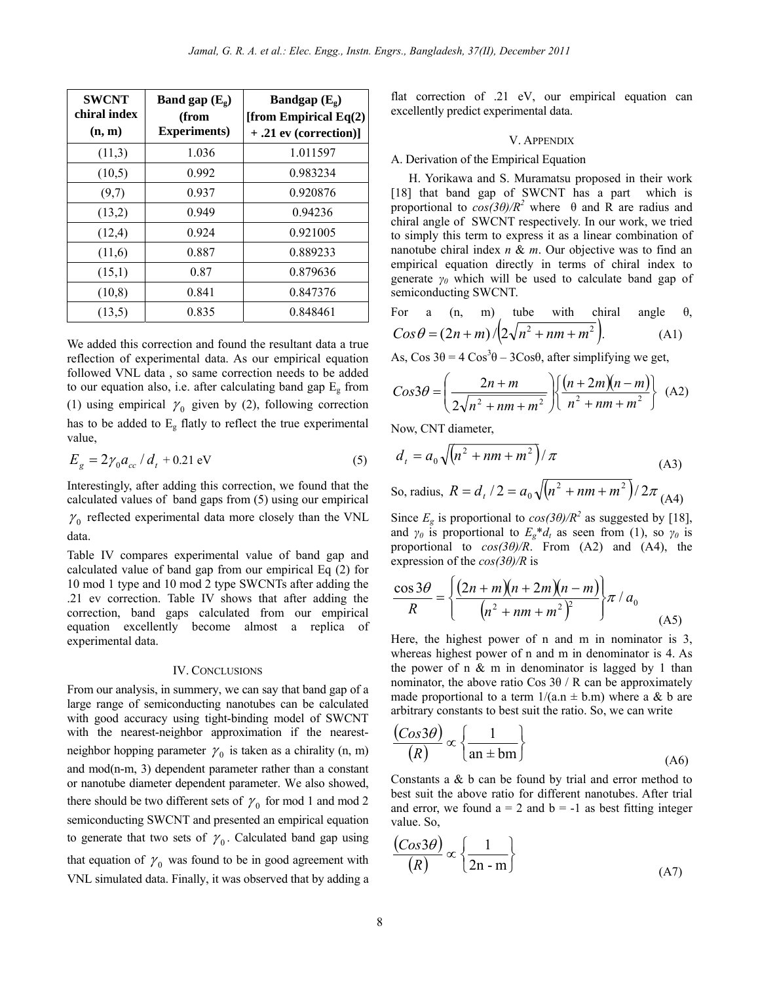| <b>SWCNT</b><br>chiral index<br>(n, m) | Band gap $(E_g)$<br>(from<br><b>Experiments</b> ) | Bandgap $(E_g)$<br>[from Empirical $Eq(2)$<br>$+ .21$ ev (correction)] |
|----------------------------------------|---------------------------------------------------|------------------------------------------------------------------------|
| (11,3)                                 | 1.036                                             | 1.011597                                                               |
| (10,5)                                 | 0.992                                             | 0.983234                                                               |
| (9,7)                                  | 0.937                                             | 0.920876                                                               |
| (13,2)                                 | 0.949                                             | 0.94236                                                                |
| (12,4)                                 | 0.924                                             | 0.921005                                                               |
| (11,6)                                 | 0.887                                             | 0.889233                                                               |
| (15,1)                                 | 0.87                                              | 0.879636                                                               |
| (10, 8)                                | 0.841                                             | 0.847376                                                               |
| (13,5)                                 | 0.835                                             | 0.848461                                                               |

We added this correction and found the resultant data a true reflection of experimental data. As our empirical equation followed VNL data , so same correction needs to be added to our equation also, i.e. after calculating band gap  $E<sub>g</sub>$  from (1) using empirical  $\gamma_0$  given by (2), following correction has to be added to Eg flatly to reflect the true experimental value,

$$
E_g = 2\gamma_0 a_{cc} / d_t + 0.21 \text{ eV}
$$
 (5)

Interestingly, after adding this correction, we found that the calculated values of band gaps from (5) using our empirical  $\gamma_0$  reflected experimental data more closely than the VNL data.

Table IV compares experimental value of band gap and calculated value of band gap from our empirical Eq (2) for 10 mod 1 type and 10 mod 2 type SWCNTs after adding the .21 ev correction. Table IV shows that after adding the correction, band gaps calculated from our empirical equation excellently become almost a replica of experimental data.

### IV. CONCLUSIONS

From our analysis, in summery, we can say that band gap of a large range of semiconducting nanotubes can be calculated with good accuracy using tight-binding model of SWCNT with the nearest-neighbor approximation if the nearestneighbor hopping parameter  $\gamma_0$  is taken as a chirality (n, m) and mod(n-m, 3) dependent parameter rather than a constant or nanotube diameter dependent parameter. We also showed, there should be two different sets of  $\gamma_0$  for mod 1 and mod 2 semiconducting SWCNT and presented an empirical equation to generate that two sets of  $\gamma_0$ . Calculated band gap using that equation of  $\gamma_0$  was found to be in good agreement with VNL simulated data. Finally, it was observed that by adding a flat correction of .21 eV, our empirical equation can excellently predict experimental data.

#### V. APPENDIX

#### A. Derivation of the Empirical Equation

H. Yorikawa and S. Muramatsu proposed in their work [18] that band gap of SWCNT has a part which is proportional to  $cos(3\theta)/R^2$  where  $\theta$  and R are radius and chiral angle of SWCNT respectively. In our work, we tried to simply this term to express it as a linear combination of nanotube chiral index *n* & *m*. Our objective was to find an empirical equation directly in terms of chiral index to generate *γ0* which will be used to calculate band gap of semiconducting SWCNT.

For a (n, m) tube with chiral angle 
$$
\theta
$$
,  
\n
$$
Cos \theta = (2n + m) / (2\sqrt{n^2 + nm + m^2}).
$$
\n(A1)

As,  $\cos 3\theta = 4 \cos^3 \theta - 3 \cos \theta$ , after simplifying we get,

$$
Cos3\theta = \left(\frac{2n+m}{2\sqrt{n^2+nm+m^2}}\right) \left\{\frac{\left(n+2m\right)\left(n-m\right)}{n^2+nm+m^2}\right\} (A2)
$$

Now, CNT diameter,

$$
d_{t} = a_{0} \sqrt{(n^{2} + nm + m^{2})}/\pi
$$
\n
$$
\text{So, radius, } R = d_{t}/2 = a_{0} \sqrt{(n^{2} + nm + m^{2})}/2\pi \text{ (A4)}
$$

Since  $E_g$  is proportional to  $cos(3\theta)/R^2$  as suggested by [18], and  $\gamma_0$  is proportional to  $E_g * d_t$  as seen from (1), so  $\gamma_0$  is proportional to *cos(3θ)/R*. From (A2) and (A4), the expression of the *cos(3θ)/R* is

$$
\frac{\cos 3\theta}{R} = \left\{ \frac{(2n+m)(n+2m)(n-m)}{(n^2+nm+m^2)^2} \right\} \pi / a_0
$$
 (A5)

Here, the highest power of n and m in nominator is 3, whereas highest power of n and m in denominator is 4. As the power of n  $\&$  m in denominator is lagged by 1 than nominator, the above ratio Cos  $3\theta$  / R can be approximately made proportional to a term  $1/(a.n \pm b.m)$  where a & b are arbitrary constants to best suit the ratio. So, we can write

$$
\frac{(Cos 3\theta)}{(R)} \propto \left\{ \frac{1}{\text{an} \pm \text{bm}} \right\}
$$
 (A6)

Constants a & b can be found by trial and error method to best suit the above ratio for different nanotubes. After trial and error, we found  $a = 2$  and  $b = -1$  as best fitting integer value. So,

$$
\frac{(Cos 3\theta)}{(R)} \propto \left\{ \frac{1}{2n-m} \right\}
$$
 (A7)